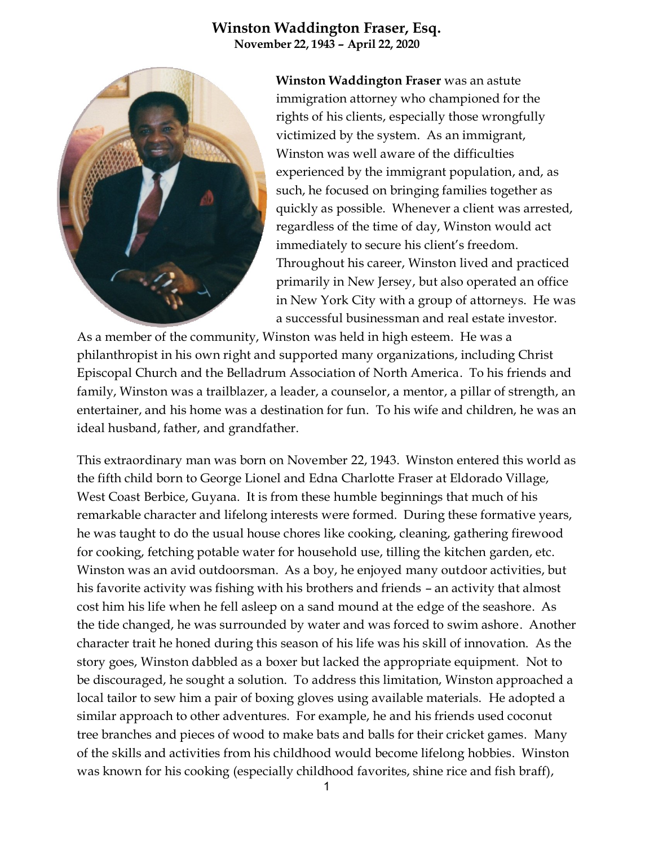## **Winston Waddington Fraser, Esq. November 22, 1943 – April 22, 2020**



**Winston Waddington Fraser** was an astute immigration attorney who championed for the rights of his clients, especially those wrongfully victimized by the system. As an immigrant, Winston was well aware of the difficulties experienced by the immigrant population, and, as such, he focused on bringing families together as quickly as possible. Whenever a client was arrested, regardless of the time of day, Winston would act immediately to secure his client's freedom. Throughout his career, Winston lived and practiced primarily in New Jersey, but also operated an office in New York City with a group of attorneys. He was a successful businessman and real estate investor.

As a member of the community, Winston was held in high esteem. He was a philanthropist in his own right and supported many organizations, including Christ Episcopal Church and the Belladrum Association of North America. To his friends and family, Winston was a trailblazer, a leader, a counselor, a mentor, a pillar of strength, an entertainer, and his home was a destination for fun. To his wife and children, he was an ideal husband, father, and grandfather.

This extraordinary man was born on November 22, 1943. Winston entered this world as the fifth child born to George Lionel and Edna Charlotte Fraser at Eldorado Village, West Coast Berbice, Guyana. It is from these humble beginnings that much of his remarkable character and lifelong interests were formed. During these formative years, he was taught to do the usual house chores like cooking, cleaning, gathering firewood for cooking, fetching potable water for household use, tilling the kitchen garden, etc. Winston was an avid outdoorsman. As a boy, he enjoyed many outdoor activities, but his favorite activity was fishing with his brothers and friends – an activity that almost cost him his life when he fell asleep on a sand mound at the edge of the seashore. As the tide changed, he was surrounded by water and was forced to swim ashore. Another character trait he honed during this season of his life was his skill of innovation. As the story goes, Winston dabbled as a boxer but lacked the appropriate equipment. Not to be discouraged, he sought a solution. To address this limitation, Winston approached a local tailor to sew him a pair of boxing gloves using available materials. He adopted a similar approach to other adventures. For example, he and his friends used coconut tree branches and pieces of wood to make bats and balls for their cricket games. Many of the skills and activities from his childhood would become lifelong hobbies. Winston was known for his cooking (especially childhood favorites, shine rice and fish braff),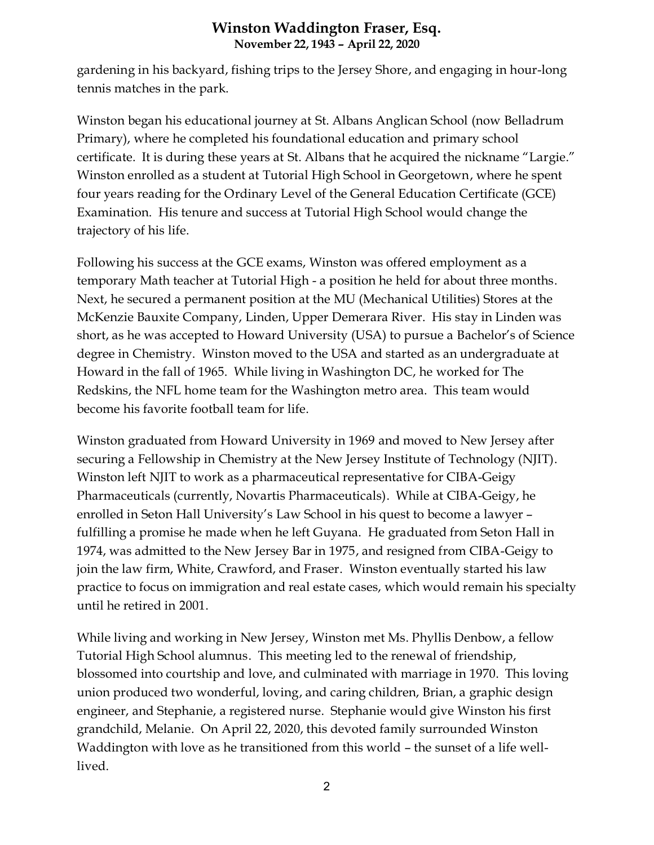## **Winston Waddington Fraser, Esq. November 22, 1943 – April 22, 2020**

gardening in his backyard, fishing trips to the Jersey Shore, and engaging in hour-long tennis matches in the park.

Winston began his educational journey at St. Albans Anglican School (now Belladrum Primary), where he completed his foundational education and primary school certificate. It is during these years at St. Albans that he acquired the nickname "Largie." Winston enrolled as a student at Tutorial High School in Georgetown, where he spent four years reading for the Ordinary Level of the General Education Certificate (GCE) Examination. His tenure and success at Tutorial High School would change the trajectory of his life.

Following his success at the GCE exams, Winston was offered employment as a temporary Math teacher at Tutorial High - a position he held for about three months. Next, he secured a permanent position at the MU (Mechanical Utilities) Stores at the McKenzie Bauxite Company, Linden, Upper Demerara River. His stay in Linden was short, as he was accepted to Howard University (USA) to pursue a Bachelor's of Science degree in Chemistry. Winston moved to the USA and started as an undergraduate at Howard in the fall of 1965. While living in Washington DC, he worked for The Redskins, the NFL home team for the Washington metro area. This team would become his favorite football team for life.

Winston graduated from Howard University in 1969 and moved to New Jersey after securing a Fellowship in Chemistry at the New Jersey Institute of Technology (NJIT). Winston left NJIT to work as a pharmaceutical representative for CIBA-Geigy Pharmaceuticals (currently, Novartis Pharmaceuticals). While at CIBA-Geigy, he enrolled in Seton Hall University's Law School in his quest to become a lawyer – fulfilling a promise he made when he left Guyana. He graduated from Seton Hall in 1974, was admitted to the New Jersey Bar in 1975, and resigned from CIBA-Geigy to join the law firm, White, Crawford, and Fraser. Winston eventually started his law practice to focus on immigration and real estate cases, which would remain his specialty until he retired in 2001.

While living and working in New Jersey, Winston met Ms. Phyllis Denbow, a fellow Tutorial High School alumnus. This meeting led to the renewal of friendship, blossomed into courtship and love, and culminated with marriage in 1970. This loving union produced two wonderful, loving, and caring children, Brian, a graphic design engineer, and Stephanie, a registered nurse. Stephanie would give Winston his first grandchild, Melanie. On April 22, 2020, this devoted family surrounded Winston Waddington with love as he transitioned from this world – the sunset of a life welllived.